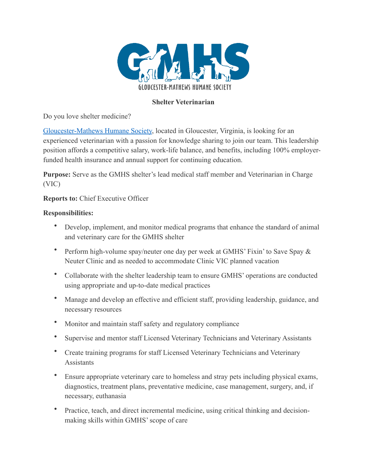

# **Shelter Veterinarian**

Do you love shelter medicine?

Gloucester-Mathews Humane Society, located in Gloucester, Virginia, is looking for an experienced veterinarian with a passion for knowledge sharing to join our team. This leadership position affords a competitive salary, work-life balance, and benefits, including 100% employerfunded health insurance and annual support for continuing education.

**Purpose:** Serve as the GMHS shelter's lead medical staff member and Veterinarian in Charge (VIC)

**Reports to:** Chief Executive Officer

### **Responsibilities:**

- Develop, implement, and monitor medical programs that enhance the standard of animal and veterinary care for the GMHS shelter
- Perform high-volume spay/neuter one day per week at GMHS' Fixin' to Save Spay  $\&$ Neuter Clinic and as needed to accommodate Clinic VIC planned vacation
- Collaborate with the shelter leadership team to ensure GMHS' operations are conducted using appropriate and up-to-date medical practices
- Manage and develop an effective and efficient staff, providing leadership, guidance, and necessary resources
- Monitor and maintain staff safety and regulatory compliance
- Supervise and mentor staff Licensed Veterinary Technicians and Veterinary Assistants
- Create training programs for staff Licensed Veterinary Technicians and Veterinary **Assistants**
- Ensure appropriate veterinary care to homeless and stray pets including physical exams, diagnostics, treatment plans, preventative medicine, case management, surgery, and, if necessary, euthanasia
- Practice, teach, and direct incremental medicine, using critical thinking and decisionmaking skills within GMHS' scope of care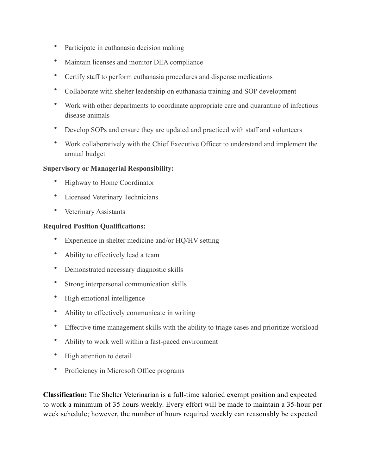- Participate in euthanasia decision making
- Maintain licenses and monitor DEA compliance
- Certify staff to perform euthanasia procedures and dispense medications
- Collaborate with shelter leadership on euthanasia training and SOP development
- Work with other departments to coordinate appropriate care and quarantine of infectious disease animals
- Develop SOPs and ensure they are updated and practiced with staff and volunteers
- Work collaboratively with the Chief Executive Officer to understand and implement the annual budget

### **Supervisory or Managerial Responsibility:**

- Highway to Home Coordinator
- Licensed Veterinary Technicians
- Veterinary Assistants

### **Required Position Qualifications:**

- Experience in shelter medicine and/or HO/HV setting
- Ability to effectively lead a team
- Demonstrated necessary diagnostic skills
- Strong interpersonal communication skills
- High emotional intelligence
- Ability to effectively communicate in writing
- Effective time management skills with the ability to triage cases and prioritize workload
- Ability to work well within a fast-paced environment
- High attention to detail
- Proficiency in Microsoft Office programs

**Classification:** The Shelter Veterinarian is a full-time salaried exempt position and expected to work a minimum of 35 hours weekly. Every effort will be made to maintain a 35-hour per week schedule; however, the number of hours required weekly can reasonably be expected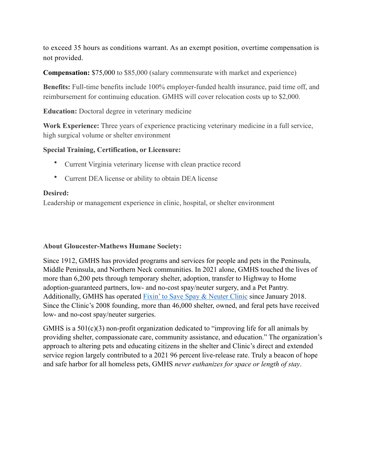to exceed 35 hours as conditions warrant. As an exempt position, overtime compensation is not provided.

**Compensation:** \$75,000 to \$85,000 (salary commensurate with market and experience)

**Benefits:** Full-time benefits include 100% employer-funded health insurance, paid time off, and reimbursement for continuing education. GMHS will cover relocation costs up to \$2,000.

**Education:** Doctoral degree in veterinary medicine

**Work Experience:** Three years of experience practicing veterinary medicine in a full service, high surgical volume or shelter environment

### **Special Training, Certification, or Licensure:**

- Current Virginia veterinary license with clean practice record
- Current DEA license or ability to obtain DEA license

### **Desired:**

Leadership or management experience in clinic, hospital, or shelter environment

### **About Gloucester-Mathews Humane Society:**

Since 1912, GMHS has provided programs and services for people and pets in the Peninsula, Middle Peninsula, and Northern Neck communities. In 2021 alone, GMHS touched the lives of more than 6,200 pets through temporary shelter, adoption, transfer to Highway to Home adoption-guaranteed partners, low- and no-cost spay/neuter surgery, and a Pet Pantry. Additionally, GMHS has operated Fixin' to Save Spay & Neuter Clinic since January 2018. Since the Clinic's 2008 founding, more than 46,000 shelter, owned, and feral pets have received low- and no-cost spay/neuter surgeries.

GMHS is a  $501(c)(3)$  non-profit organization dedicated to "improving life for all animals by providing shelter, compassionate care, community assistance, and education." The organization's approach to altering pets and educating citizens in the shelter and Clinic's direct and extended service region largely contributed to a 2021 96 percent live-release rate. Truly a beacon of hope and safe harbor for all homeless pets, GMHS *never euthanizes for space or length of stay*.